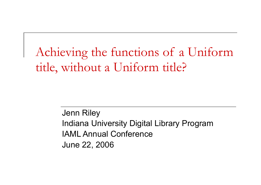### Achieving the functions of a Uniform title, without a Uniform title?

Jenn Riley Indiana University Digital Library Program IAML Annual Conference June 22, 2006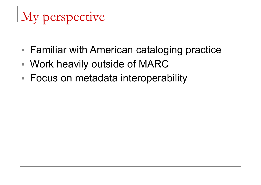# My perspective

- Familiar with American cataloging practice
- Work heavily outside of MARC
- Focus on metadata interoperability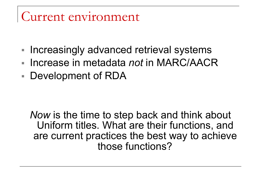#### Current environment

- Increasingly advanced retrieval systems
- Increase in metadata *not* in MARC/AACR
- Development of RDA

*Now* is the time to step back and think about Uniform titles. What are their functions, and are current practices the best way to achieve those functions?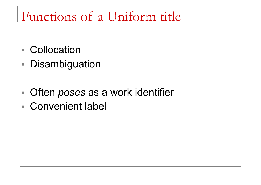## Functions of a Uniform title

- Collocation
- Disambiguation
- Often *poses* as a work identifier
- Convenient label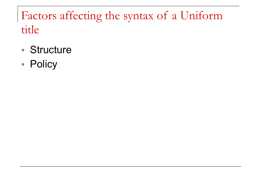#### Factors affecting the syntax of a Uniform title

- Structure
- Policy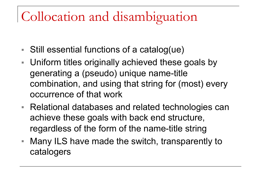## Collocation and disambiguation

- Still essential functions of a catalog(ue)
- Uniform titles originally achieved these goals by generating a (pseudo) unique name-title combination, and using that string for (most) every occurrence of that work
- Relational databases and related technologies can achieve these goals with back end structure, regardless of the form of the name-title string
- Many ILS have made the switch, transparently to catalogers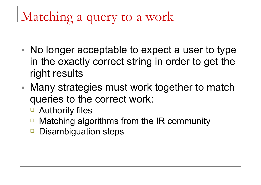## Matching a query to a work

- No longer acceptable to expect a user to type in the exactly correct string in order to get the right results
- Many strategies must work together to match queries to the correct work:
	- Authority files
	- ❑ Matching algorithms from the IR community
	- Disambiguation steps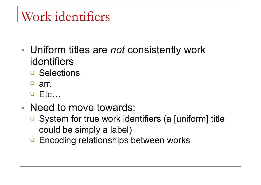## Work identifiers

- Uniform titles are *not* consistently work identifiers
	- ❑ Selections
	- ❑ arr.
	- ❑ Etc…
- Need to move towards:
	- System for true work identifiers (a [uniform] title could be simply a label)
	- □ Encoding relationships between works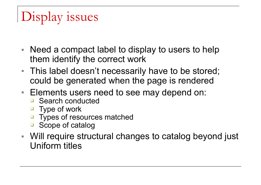# Display issues

- Need a compact label to display to users to help them identify the correct work
- This label doesn't necessarily have to be stored; could be generated when the page is rendered
- Elements users need to see may depend on:
	- ❑ Search conducted
	- ❑ Type of work
	- ❑ Types of resources matched
	- ❑ Scope of catalog
- Will require structural changes to catalog beyond just Uniform titles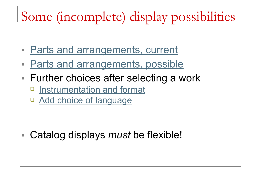## Some (incomplete) display possibilities

- Parts and arrangements, current
- Parts and arrangements, possible
- Further choices after selecting a work
	- ❑ Instrumentation and format
	- □ Add choice of language

■ Catalog displays *must* be flexible!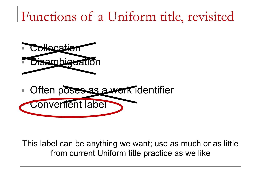## Functions of a Uniform title, revisited





This label can be anything we want; use as much or as little from current Uniform title practice as we like